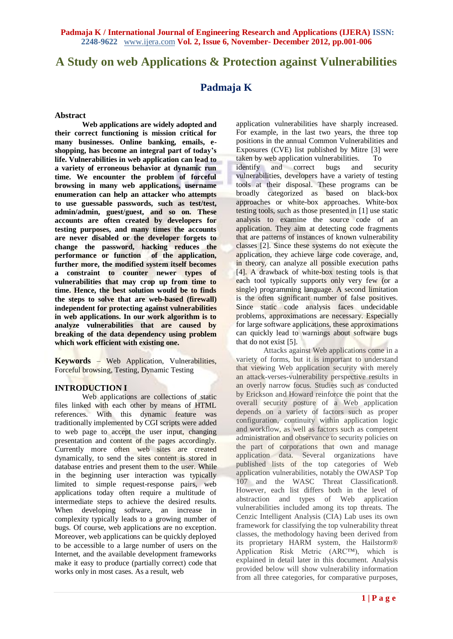# **A Study on web Applications & Protection against Vulnerabilities**

## **Padmaja K**

#### **Abstract**

**Web applications are widely adopted and their correct functioning is mission critical for many businesses. Online banking, emails, eshopping, has become an integral part of today's life. Vulnerabilities in web application can lead to a variety of erroneous behavior at dynamic run time. We encounter the problem of forceful browsing in many web applications, username enumeration can help an attacker who attempts to use guessable passwords, such as test/test, admin/admin, guest/guest, and so on. These accounts are often created by developers for testing purposes, and many times the accounts are never disabled or the developer forgets to change the password, hacking reduces the performance or function of the application, further more, the modified system itself becomes a constraint to counter newer types of vulnerabilities that may crop up from time to time. Hence, the best solution would be to finds the steps to solve that are web-based (firewall) independent for protecting against vulnerabilities in web applications. In our work algorithm is to analyze vulnerabilities that are caused by breaking of the data dependency using problem which work efficient with existing one.**

**Keywords** – Web Application, Vulnerabilities, Forceful browsing, Testing, Dynamic Testing

### **INTRODUCTION I**

Web applications are collections of static files linked with each other by means of HTML references. With this dynamic feature was traditionally implemented by CGI scripts were added to web page to accept the user input, changing presentation and content of the pages accordingly. Currently more often web sites are created dynamically, to send the sites content is stored in database entries and present them to the user. While in the beginning user interaction was typically limited to simple request-response pairs, web applications today often require a multitude of intermediate steps to achieve the desired results. When developing software, an increase in complexity typically leads to a growing number of bugs. Of course, web applications are no exception. Moreover, web applications can be quickly deployed to be accessible to a large number of users on the Internet, and the available development frameworks make it easy to produce (partially correct) code that works only in most cases. As a result, web

application vulnerabilities have sharply increased. For example, in the last two years, the three top positions in the annual Common Vulnerabilities and Exposures (CVE) list published by Mitre [3] were taken by web application vulnerabilities. To identify and correct bugs and security vulnerabilities, developers have a variety of testing tools at their disposal. These programs can be broadly categorized as based on black-box approaches or white-box approaches. White-box testing tools, such as those presented in [1] use static analysis to examine the source code of an application. They aim at detecting code fragments that are patterns of instances of known vulnerability classes [2]. Since these systems do not execute the application, they achieve large code coverage, and, in theory, can analyze all possible execution paths [4]. A drawback of white-box testing tools is that each tool typically supports only very few (or a single) programming language. A second limitation is the often significant number of false positives. Since static code analysis faces undecidable problems, approximations are necessary. Especially for large software applications, these approximations can quickly lead to warnings about software bugs that do not exist [5].

Attacks against Web applications come in a variety of forms, but it is important to understand that viewing Web application security with merely an attack-verses-vulnerability perspective results in an overly narrow focus. Studies such as conducted by Erickson and Howard reinforce the point that the overall security posture of a Web application depends on a variety of factors such as proper configuration, continuity within application logic and workflow, as well as factors such as competent administration and observance to security policies on the part of corporations that own and manage application data. Several organizations have published lists of the top categories of Web application vulnerabilities, notably the OWASP Top 107 and the WASC Threat Classification8. However, each list differs both in the level of abstraction and types of Web application vulnerabilities included among its top threats. The Cenzic Intelligent Analysis (CIA) Lab uses its own framework for classifying the top vulnerability threat classes, the methodology having been derived from its proprietary HARM system, the Hailstorm® Application Risk Metric (ARC™), which is explained in detail later in this document. Analysis provided below will show vulnerability information from all three categories, for comparative purposes,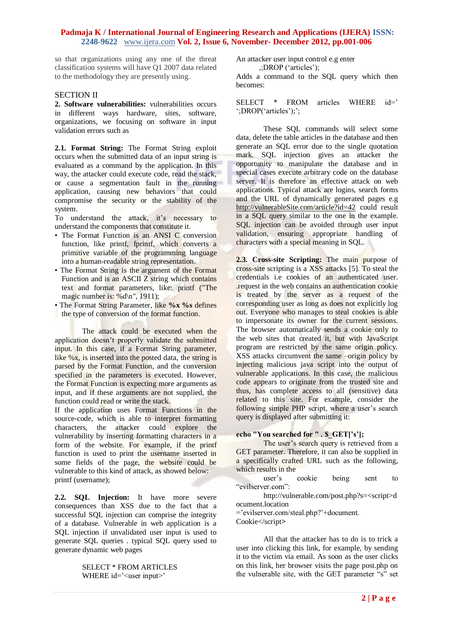so that organizations using any one of the threat classification systems will have Q1 2007 data related to the methodology they are presently using.

## SECTION II

**2. Software vulnerabilities:** vulnerabilities occurs in different ways hardware, sites, software, organizations, we focusing on software in input validation errors such as

**2.1. Format String:** The Format String exploit occurs when the submitted data of an input string is evaluated as a command by the application. In this way, the attacker could execute code, read the stack, or cause a segmentation fault in the running application, causing new behaviors that could compromise the security or the stability of the system.

To understand the attack, it's necessary to understand the components that constitute it.

- The Format Function is an ANSI C conversion function, like printf, fprintf, which converts a primitive variable of the programming language into a human-readable string representation.
- The Format String is the argument of the Format Function and is an ASCII Z string which contains text and format parameters, like: printf ("The magic number is: %d\n", 1911);
- The Format String Parameter, like **%x %s** defines
- the type of conversion of the format function.

The attack could be executed when the application doesn"t properly validate the submitted input. In this case, if a Format String parameter, like %x, is inserted into the posted data, the string is parsed by the Format Function, and the conversion specified in the parameters is executed. However, the Format Function is expecting more arguments as input, and if these arguments are not supplied, the function could read or write the stack.

If the application uses Format Functions in the source-code, which is able to interpret formatting characters, the attacker could explore the vulnerability by inserting formatting characters in a form of the website. For example, if the printf function is used to print the username inserted in some fields of the page, the website could be vulnerable to this kind of attack, as showed below: printf (username);

**2.2. SQL Injection:** It have more severe consequences than XSS due to the fact that a successful SQL injection can comprise the integrity of a database. Vulnerable in web application is a SQL injection if unvalidated user input is used to generate SQL queries . typical SQL query used to generate dynamic web pages

> SELECT \* FROM ARTICLES WHERE id='<user input>'

An attacker user input control e.g enter ,;DROP ("articles");

Adds a command to the SQL query which then becomes:

SELECT \* FROM articles WHERE id=" ";DROP('articles');";

These SQL commands will select some data, delete the table articles in the database and then generate an SQL error due to the single quotation mark. SQL injection gives an attacker the opportunity to manipulate the database and in special cases execute arbitrary code on the database server. It is therefore an effective attack on web applications. Typical attack are logins, search forms and the URL of dynamically generated pages e.g [http://vulnerableSite.com/article?id=42](http://vulnerablesite.com/article?id=42) could result in a SQL query similar to the one in the example. SQL injection can be avoided through user input validation, ensuring appropriate handling of characters with a special meaning in SQL.

**2.3. Cross-site Scripting:** The main purpose of cross-site scripting is a XSS attacks [5]. To steal the credentials i.e cookies of an authenticated user. .request in the web contains an authentication cookie is treated by the server as a request of the corresponding user as long as does not explicitly log out. Everyone who manages to steal cookies is able to impersonate its owner for the current sessions. The browser automatically sends a cookie only to the web sites that created it, but with JavaScript program are restricted by the same origin policy. XSS attacks circumvent the same –origin policy by injecting malicious java script into the output of vulnerable applications. In this case, the malicious code appears to originate from the trusted site and thus, has complete access to all (sensitive) data related to this site. For example, consider the following simple PHP script, where a user's search query is displayed after submitting it:

#### **echo "You searched for " . \$\_GET['s'];**

The user's search query is retrieved from a GET parameter. Therefore, it can also be supplied in a specifically crafted URL such as the following, which results in the

user"s cookie being sent to "evilserver.com":

http://vulnerable.com/post.php?s=<script>d ocument.location

="evilserver.com/steal.php?"+document.

Cookie</script**>**

All that the attacker has to do is to trick a user into clicking this link, for example, by sending it to the victim via email. As soon as the user clicks on this link, her browser visits the page post.php on the vulnerable site, with the GET parameter "s" set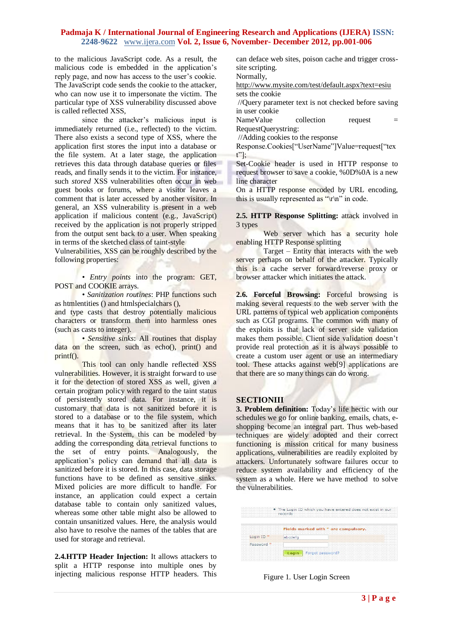to the malicious JavaScript code. As a result, the malicious code is embedded in the application's reply page, and now has access to the user"s cookie. The JavaScript code sends the cookie to the attacker, who can now use it to impersonate the victim. The particular type of XSS vulnerability discussed above is called reflected XSS,

since the attacker"s malicious input is immediately returned (i.e., reflected) to the victim. There also exists a second type of XSS, where the application first stores the input into a database or the file system. At a later stage, the application retrieves this data through database queries or files reads, and finally sends it to the victim. For instance, such *stored* XSS vulnerabilities often occur in web guest books or forums, where a visitor leaves a comment that is later accessed by another visitor. In general, an XSS vulnerability is present in a web application if malicious content (e.g., JavaScript) received by the application is not properly stripped from the output sent back to a user. When speaking in terms of the sketched class of taint-style

Vulnerabilities, XSS can be roughly described by the following properties:

• *Entry points* into the program: GET, POST and COOKIE arrays.

• *Sanitization routines*: PHP functions such as htmlentities () and htmlspecialchars (),

and type casts that destroy potentially malicious characters or transform them into harmless ones (such as casts to integer).

• *Sensitive sinks*: All routines that display data on the screen, such as echo(), print() and printf().

This tool can only handle reflected XSS vulnerabilities. However, it is straight forward to use it for the detection of stored XSS as well, given a certain program policy with regard to the taint status of persistently stored data. For instance, it is customary that data is not sanitized before it is stored to a database or to the file system, which means that it has to be sanitized after its later retrieval. In the System, this can be modeled by adding the corresponding data retrieval functions to the set of entry points. Analogously, the application"s policy can demand that all data is sanitized before it is stored. In this case, data storage functions have to be defined as sensitive sinks. Mixed policies are more difficult to handle. For instance, an application could expect a certain database table to contain only sanitized values, whereas some other table might also be allowed to contain unsanitized values. Here, the analysis would also have to resolve the names of the tables that are used for storage and retrieval.

**2.4.HTTP Header Injection:** It allows attackers to split a HTTP response into multiple ones by injecting malicious response HTTP headers. This

can deface web sites, poison cache and trigger crosssite scripting.

Normally,

<http://www.mysite.com/test/default.aspx?text=esiu> sets the cookie

//Query parameter text is not checked before saving in user cookie

NameValue collection request = RequestQuerystring:

//Adding cookies to the response

Response.Cookies["UserName"]Value=request["tex t"];

Set-Cookie header is used in HTTP response to request browser to save a cookie, %0D%0A is a new line character

On a HTTP response encoded by URL encoding, this is usually represented as " $\mathbf{r} \cdot \mathbf{n}$ " in code.

**2.5. HTTP Response Splitting:** attack involved in 3 types

Web server which has a security hole enabling HTTP Response splitting

Target – Entity that interacts with the web server perhaps on behalf of the attacker. Typically this is a cache server forward/reverse proxy or browser attacker which initiates the attack.

**2.6. Forceful Browsing:** Forceful browsing is making several requests to the web server with the URL patterns of typical web application components such as CGI programs. The common with many of the exploits is that lack of server side validation makes them possible. Client side validation doesn"t provide real protection as it is always possible to create a custom user agent or use an intermediary tool. These attacks against web[9] applications are that there are so many things can do wrong.

## **SECTIONIII**

**3. Problem definition:** Today"s life hectic with our schedules we go for online banking, emails, chats, eshopping become an integral part. Thus web-based techniques are widely adopted and their correct functioning is mission critical for many business applications, vulnerabilities are readily exploited by attackers. Unfortunately software failures occur to reduce system availability and efficiency of the system as a whole. Here we have method to solve the vulnerabilities.

|                       | . The Login ID which you have entered does not exist in our<br>records |
|-----------------------|------------------------------------------------------------------------|
|                       | Fields marked with * are compulsory.                                   |
| Login ID <sup>*</sup> | abcdefa                                                                |
|                       |                                                                        |

Figure 1. User Login Screen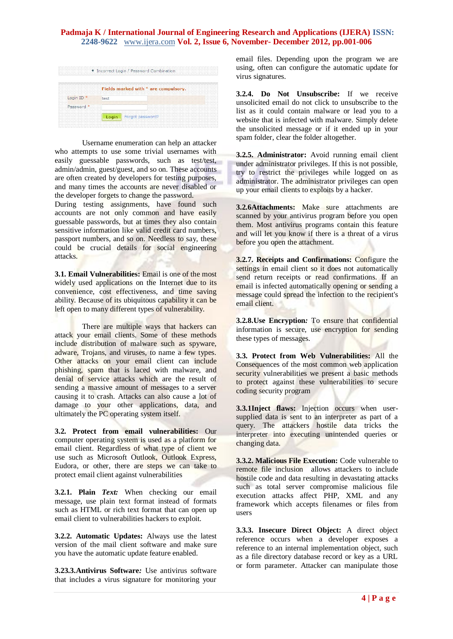|          | Fields marked with * are compulsory. |
|----------|--------------------------------------|
| Login ID | test                                 |
| Password |                                      |
|          | Login Forgot password?               |

Username enumeration can help an attacker who attempts to use some trivial usernames with easily guessable passwords, such as test/test, admin/admin, guest/guest, and so on. These accounts are often created by developers for testing purposes, and many times the accounts are never disabled or the developer forgets to change the password.

During testing assignments, have found such accounts are not only common and have easily guessable passwords, but at times they also contain sensitive information like valid credit card numbers, passport numbers, and so on. Needless to say, these could be crucial details for social engineering attacks.

**3.1. Email Vulnerabilities:** Email is one of the most widely used applications on the Internet due to its convenience, cost effectiveness, and time saving ability. Because of its ubiquitous capability it can be left open to many different types of vulnerability.

There are multiple ways that hackers can attack your email clients. Some of these methods include distribution of malware such as spyware, adware, Trojans, and viruses, to name a few types. Other attacks on your email client can include phishing, spam that is laced with malware, and denial of service attacks which are the result of sending a massive amount of messages to a server causing it to crash. Attacks can also cause a lot of damage to your other applications, data, and ultimately the PC operating system itself.

**3.2. Protect from email vulnerabilities:** Our computer operating system is used as a platform for email client. Regardless of what type of client we use such as Microsoft Outlook, Outlook Express, Eudora, or other, there are steps we can take to protect email client against vulnerabilities

**3.2.1. Plain** *Text:* When checking our email message, use plain text format instead of formats such as HTML or rich text format that can open up email client to vulnerabilities hackers to exploit.

**3.2.2. Automatic Updates:** Always use the latest version of the mail client software and make sure you have the automatic update feature enabled.

**3.23.3.Antivirus Software***:* Use antivirus software that includes a virus signature for monitoring your

email files. Depending upon the program we are using, often can configure the automatic update for virus signatures.

**3.2.4. Do Not Unsubscribe:** If we receive unsolicited email do not click to unsubscribe to the list as it could contain malware or lead you to a website that is infected with malware. Simply delete the unsolicited message or if it ended up in your spam folder, clear the folder altogether.

**3.2.5. Administrator:** Avoid running email client under administrator privileges. If this is not possible, try to restrict the privileges while logged on as administrator. The administrator privileges can open up your email clients to exploits by a hacker.

**3.2.6Attachments:** Make sure attachments are scanned by your antivirus program before you open them. Most antivirus programs contain this feature and will let you know if there is a threat of a virus before you open the attachment.

**3.2.7. Receipts and Confirmations:** Configure the settings in email client so it does not automatically send return receipts or read confirmations. If an email is infected automatically opening or sending a message could spread the infection to the recipient's email client.

**3.2.8.Use Encryption***:* To ensure that confidential information is secure, use encryption for sending these types of messages.

**3.3. Protect from Web Vulnerabilities:** All the Consequences of the most common web application security vulnerabilities we present a basic methods to protect against these vulnerabilities to secure coding security program

**3.3.1Inject flaws:** Injection occurs when usersupplied data is sent to an interpreter as part of a query. The attackers hostile data tricks the interpreter into executing unintended queries or changing data.

**3.3.2. Malicious File Execution:** Code vulnerable to remote file inclusion allows attackers to include hostile code and data resulting in devastating attacks such as total server compromise malicious file execution attacks affect PHP, XML and any framework which accepts filenames or files from users

**3.3.3. Insecure Direct Object:** A direct object reference occurs when a developer exposes a reference to an internal implementation object, such as a file directory database record or key as a URL or form parameter. Attacker can manipulate those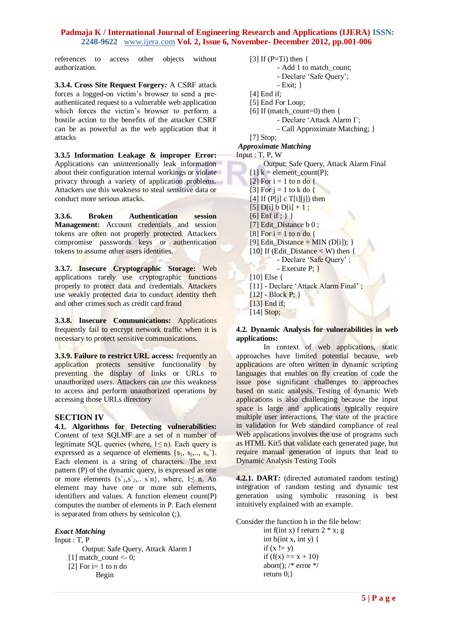references to access other objects without authorization.

**3.3.4. Cross Site Request Forgery***:* A CSRF attack forces a logged-on victim"s browser to send a preauthenticated request to a vulnerable web application which forces the victim's browser to perform a hostile action to the benefits of the attacker CSRF can be as powerful as the web application that it attacks

**3.3.5 Information Leakage & improper Error:** Applications can unintentionally leak information about their configuration internal workings or violate privacy through a variety of application problems. Attackers use this weakness to steal sensitive data or conduct more serious attacks.

**3.3.6. Broken Authentication session Management:** Account credentials and session tokens are often not properly protected. Attackers compromise passwords keys or authentication tokens to assume other users identities.

**3.3.7. Insecure Cryptographic Storage:** Web applications rarely use cryptographic functions properly to protect data and credentials. Attackers use weakly protected data to conduct identity theft and other crimes such as credit card fraud

**3.3.8. Insecure Communications:** Applications frequently fail to encrypt network traffic when it is necessary to protect sensitive communications.

**3.3.9. Failure to restrict URL access:** frequently an application protects sensitive functionality by preventing the display of links or URLs to unauthorized users. Attackers can use this weakness to access and perform unauthorized operations by accessing those URLs directory

## **SECTION IV**

**4.1. Algorithms for Detecting vulnerabilities:** Content of text SQLMF are a set of n number of legitimate SQL queries (where,  $1 \le n$ ). Each query is expressed as a sequence of elements  $\{s_1, s_2, ..., s_n\}$ . Each element is a string of characters. The text pattern (P) of the dynamic query, is expressed as one or more elements  $\{s_1, s_2, \ldots, s_n\}$ , where,  $1 \le n$ . An element may have one or more sub elements, identifiers and values. A function element count(P) computes the number of elements in P. Each element is separated from others by semicolon (;).

#### *Exact Matching*

Input : T, P Output: Safe Query, Attack Alarm I  $[1]$  match\_count <- 0; [2] For  $i=1$  to n do Begin

$$
[3] If (P=Ti) then \{
$$

- Add 1 to match count;
- Declare "Safe Query";
- Exit; }
- [4] End if:
- [5] End For Loop;
- [6] If (match\_count=0) then {
	- Declare "Attack Alarm I";
	- Call Approximate Matching; }

[7] Stop;

*Approximate Matching*

Input : T, P, W

Output: Safe Query, Attack Alarm Final  $[1]$  k = element count(P);  $[2]$  For  $i = 1$  to n do { [3] For  $i = 1$  to k do { [4] If  $(P[i] \ c T[i][j])$  then  $[5]$  D[i] b D[i] + 1;  $[6]$  Enf if ; } } [7] Edit\_Distance b 0;  $[8]$  For  $i = 1$  to n do { [9] Edit\_Distance = MIN (D[i]); } [10] If (Edit Distance  $\langle W \rangle$  then { - Declare 'Safe Query' ; - Execute P; } [10] Else { [11] - Declare 'Attack Alarm Final';  $[12]$  - Block P; } [13] End if;

[14] Stop;

#### **4.2. Dynamic Analysis for vulnerabilities in web applications:**

In context of web applications, static approaches have limited potential because, web applications are often written in dynamic scripting languages that enables on fly creation of code the issue pose significant challenges to approaches based on static analysis. Testing of dynamic Web applications is also challenging because the input space is large and applications typically require multiple user interactions. The state of the practice in validation for Web standard compliance of real Web applications involves the use of programs such as HTML Kit5 that validate each generated page, but require manual generation of inputs that lead to Dynamic Analysis Testing Tools

**4.2.1. DART***:* (directed automated random testing) integration of random testing and dynamic test generation using symbolic reasoning is best intuitively explained with an example.

Consider the function h in the file below:

int f(int x) f return  $2 * x$ ; g int h(int x, int y) { if  $(x := y)$ if  $(f(x) == x + 10)$ abort();  $/*$  error  $*/$ return 0;}